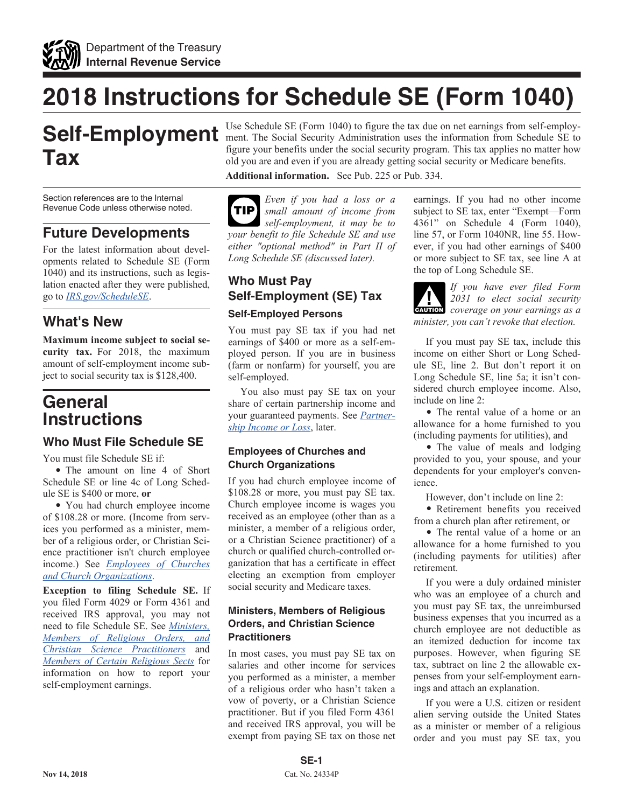<span id="page-0-0"></span>

# **2018 Instructions for Schedule SE (Form 1040)**

# **Self-Employment Tax**

Section references are to the Internal Revenue Code unless otherwise noted.

### **Future Developments**

For the latest information about developments related to Schedule SE (Form 1040) and its instructions, such as legislation enacted after they were published, go to *[IRS.gov/ScheduleSE](https://www.irs.gov/schedulese)*.

### **What's New**

**Maximum income subject to social security tax.** For 2018, the maximum amount of self-employment income subject to social security tax is \$128,400.

# **General Instructions**

### **Who Must File Schedule SE**

You must file Schedule SE if:

• The amount on line 4 of Short Schedule SE or line 4c of Long Schedule SE is \$400 or more, **or**

• You had church employee income of \$108.28 or more. (Income from services you performed as a minister, member of a religious order, or Christian Science practitioner isn't church employee income.) See *Employees of Churches and Church Organizations*.

**Exception to filing Schedule SE.** If you filed Form 4029 or Form 4361 and received IRS approval, you may not need to file Schedule SE. See *Ministers, Members of Religious Orders, and Christian Science Practitioners* and *[Members of Certain Religious Sects](#page-1-0)* for information on how to report your self-employment earnings.

Use Schedule SE (Form 1040) to figure the tax due on net earnings from self-employment. The Social Security Administration uses the information from Schedule SE to figure your benefits under the social security program. This tax applies no matter how old you are and even if you are already getting social security or Medicare benefits.

**Additional information.** See Pub. 225 or Pub. 334.

*Even if you had a loss or a small amount of income from self-employment, it may be to your benefit to file Schedule SE and use either "optional method" in Part II of Long Schedule SE (discussed later).* **TIP**

# **Who Must Pay Self-Employment (SE) Tax**

### **Self-Employed Persons**

You must pay SE tax if you had net earnings of \$400 or more as a self-employed person. If you are in business (farm or nonfarm) for yourself, you are self-employed.

You also must pay SE tax on your share of certain partnership income and your guaranteed payments. See *[Partner](#page-3-0)[ship Income or Loss](#page-3-0)*, later.

### **Employees of Churches and Church Organizations**

If you had church employee income of \$108.28 or more, you must pay SE tax. Church employee income is wages you received as an employee (other than as a minister, a member of a religious order, or a Christian Science practitioner) of a church or qualified church-controlled organization that has a certificate in effect electing an exemption from employer social security and Medicare taxes.

### **Ministers, Members of Religious Orders, and Christian Science Practitioners**

In most cases, you must pay SE tax on salaries and other income for services you performed as a minister, a member of a religious order who hasn't taken a vow of poverty, or a Christian Science practitioner. But if you filed Form 4361 and received IRS approval, you will be exempt from paying SE tax on those net earnings. If you had no other income subject to SE tax, enter "Exempt—Form 4361" on Schedule 4 (Form 1040), line 57, or Form 1040NR, line 55. However, if you had other earnings of \$400 or more subject to SE tax, see line A at the top of Long Schedule SE.



*If you have ever filed Form 2031 to elect social security*  **CAUTION** *coverage on your earnings as a minister, you can't revoke that election.*

If you must pay SE tax, include this income on either Short or Long Schedule SE, line 2. But don't report it on Long Schedule SE, line 5a; it isn't considered church employee income. Also, include on line 2:

• The rental value of a home or an allowance for a home furnished to you (including payments for utilities), and

• The value of meals and lodging provided to you, your spouse, and your dependents for your employer's convenience.

However, don't include on line 2:

• Retirement benefits you received from a church plan after retirement, or

• The rental value of a home or an allowance for a home furnished to you (including payments for utilities) after retirement.

If you were a duly ordained minister who was an employee of a church and you must pay SE tax, the unreimbursed business expenses that you incurred as a church employee are not deductible as an itemized deduction for income tax purposes. However, when figuring SE tax, subtract on line 2 the allowable expenses from your self-employment earnings and attach an explanation.

If you were a U.S. citizen or resident alien serving outside the United States as a minister or member of a religious order and you must pay SE tax, you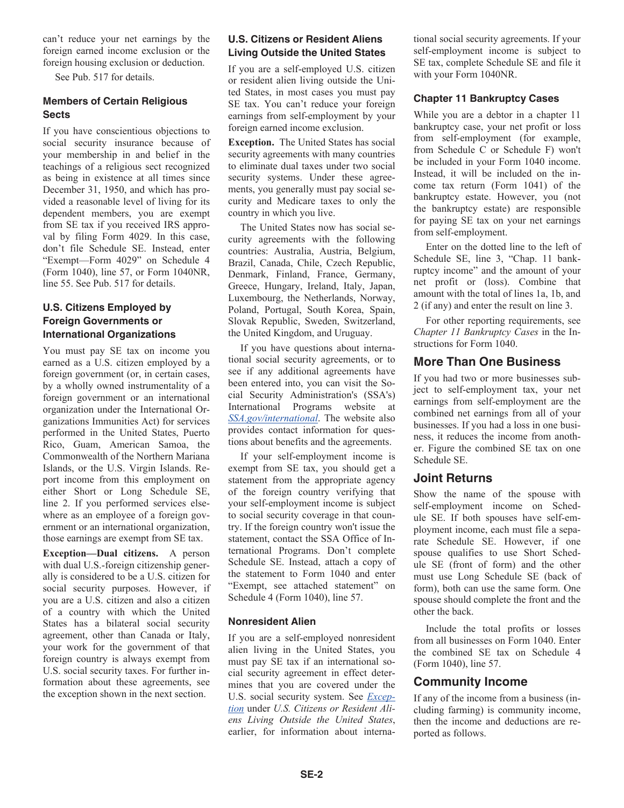<span id="page-1-0"></span>can't reduce your net earnings by the foreign earned income exclusion or the foreign housing exclusion or deduction.

See Pub. 517 for details.

### **Members of Certain Religious Sects**

If you have conscientious objections to social security insurance because of your membership in and belief in the teachings of a religious sect recognized as being in existence at all times since December 31, 1950, and which has provided a reasonable level of living for its dependent members, you are exempt from SE tax if you received IRS approval by filing Form 4029. In this case, don't file Schedule SE. Instead, enter "Exempt—Form 4029" on Schedule 4 (Form 1040), line 57, or Form 1040NR, line 55. See Pub. 517 for details.

### **U.S. Citizens Employed by Foreign Governments or International Organizations**

You must pay SE tax on income you earned as a U.S. citizen employed by a foreign government (or, in certain cases, by a wholly owned instrumentality of a foreign government or an international organization under the International Organizations Immunities Act) for services performed in the United States, Puerto Rico, Guam, American Samoa, the Commonwealth of the Northern Mariana Islands, or the U.S. Virgin Islands. Report income from this employment on either Short or Long Schedule SE, line 2. If you performed services elsewhere as an employee of a foreign government or an international organization, those earnings are exempt from SE tax.

**Exception—Dual citizens.** A person with dual U.S.-foreign citizenship generally is considered to be a U.S. citizen for social security purposes. However, if you are a U.S. citizen and also a citizen of a country with which the United States has a bilateral social security agreement, other than Canada or Italy, your work for the government of that foreign country is always exempt from U.S. social security taxes. For further information about these agreements, see the exception shown in the next section.

### **U.S. Citizens or Resident Aliens Living Outside the United States**

If you are a self-employed U.S. citizen or resident alien living outside the United States, in most cases you must pay SE tax. You can't reduce your foreign earnings from self-employment by your foreign earned income exclusion.

**Exception.** The United States has social security agreements with many countries to eliminate dual taxes under two social security systems. Under these agreements, you generally must pay social security and Medicare taxes to only the country in which you live.

The United States now has social security agreements with the following countries: Australia, Austria, Belgium, Brazil, Canada, Chile, Czech Republic, Denmark, Finland, France, Germany, Greece, Hungary, Ireland, Italy, Japan, Luxembourg, the Netherlands, Norway, Poland, Portugal, South Korea, Spain, Slovak Republic, Sweden, Switzerland, the United Kingdom, and Uruguay.

If you have questions about international social security agreements, or to see if any additional agreements have been entered into, you can visit the Social Security Administration's (SSA's) International Programs website at *[SSA.gov/international](https://www.ssa.gov/international)*. The website also provides contact information for questions about benefits and the agreements.

If your self-employment income is exempt from SE tax, you should get a statement from the appropriate agency of the foreign country verifying that your self-employment income is subject to social security coverage in that country. If the foreign country won't issue the statement, contact the SSA Office of International Programs. Don't complete Schedule SE. Instead, attach a copy of the statement to Form 1040 and enter "Exempt, see attached statement" on Schedule 4 (Form 1040), line 57.

#### **Nonresident Alien**

If you are a self-employed nonresident alien living in the United States, you must pay SE tax if an international social security agreement in effect determines that you are covered under the U.S. social security system. See *Exception* under *U.S. Citizens or Resident Aliens Living Outside the United States*, earlier, for information about international social security agreements. If your self-employment income is subject to SE tax, complete Schedule SE and file it with your Form 1040NR.

### **Chapter 11 Bankruptcy Cases**

While you are a debtor in a chapter 11 bankruptcy case, your net profit or loss from self-employment (for example, from Schedule C or Schedule F) won't be included in your Form 1040 income. Instead, it will be included on the income tax return (Form 1041) of the bankruptcy estate. However, you (not the bankruptcy estate) are responsible for paying SE tax on your net earnings from self-employment.

Enter on the dotted line to the left of Schedule SE, line 3, "Chap. 11 bankruptcy income" and the amount of your net profit or (loss). Combine that amount with the total of lines 1a, 1b, and 2 (if any) and enter the result on line 3.

For other reporting requirements, see *Chapter 11 Bankruptcy Cases* in the Instructions for Form 1040.

### **More Than One Business**

If you had two or more businesses subject to self-employment tax, your net earnings from self-employment are the combined net earnings from all of your businesses. If you had a loss in one business, it reduces the income from another. Figure the combined SE tax on one Schedule SE.

### **Joint Returns**

Show the name of the spouse with self-employment income on Schedule SE. If both spouses have self-employment income, each must file a separate Schedule SE. However, if one spouse qualifies to use Short Schedule SE (front of form) and the other must use Long Schedule SE (back of form), both can use the same form. One spouse should complete the front and the other the back.

Include the total profits or losses from all businesses on Form 1040. Enter the combined SE tax on Schedule 4 (Form 1040), line 57.

### **Community Income**

If any of the income from a business (including farming) is community income, then the income and deductions are reported as follows.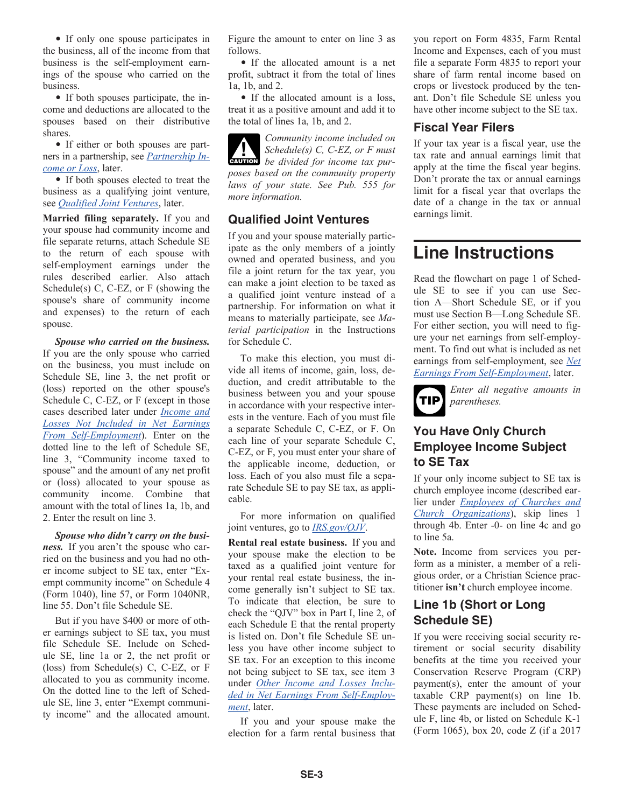• If only one spouse participates in the business, all of the income from that business is the self-employment earnings of the spouse who carried on the business.

• If both spouses participate, the income and deductions are allocated to the spouses based on their distributive shares.

• If either or both spouses are partners in a partnership, see *[Partnership In](#page-3-0)[come or Loss](#page-3-0)*, later.

• If both spouses elected to treat the business as a qualifying joint venture, see *Qualified Joint Ventures*, later.

**Married filing separately.** If you and your spouse had community income and file separate returns, attach Schedule SE to the return of each spouse with self-employment earnings under the rules described earlier. Also attach Schedule(s) C, C-EZ, or F (showing the spouse's share of community income and expenses) to the return of each spouse.

*Spouse who carried on the business.*  If you are the only spouse who carried on the business, you must include on Schedule SE, line 3, the net profit or (loss) reported on the other spouse's Schedule C, C-EZ, or F (except in those cases described later under *[Income and](#page-4-0) [Losses Not Included in Net Earnings](#page-4-0) [From Self-Employment](#page-4-0)*). Enter on the dotted line to the left of Schedule SE, line 3, "Community income taxed to spouse" and the amount of any net profit or (loss) allocated to your spouse as community income. Combine that amount with the total of lines 1a, 1b, and 2. Enter the result on line 3.

*Spouse who didn't carry on the business.* If you aren't the spouse who carried on the business and you had no other income subject to SE tax, enter "Exempt community income" on Schedule 4 (Form 1040), line 57, or Form 1040NR, line 55. Don't file Schedule SE.

But if you have \$400 or more of other earnings subject to SE tax, you must file Schedule SE. Include on Schedule SE, line 1a or 2, the net profit or (loss) from Schedule(s) C, C-EZ, or F allocated to you as community income. On the dotted line to the left of Schedule SE, line 3, enter "Exempt community income" and the allocated amount. Figure the amount to enter on line 3 as follows.

• If the allocated amount is a net profit, subtract it from the total of lines 1a, 1b, and 2.

• If the allocated amount is a loss, treat it as a positive amount and add it to the total of lines 1a, 1b, and 2.

*Community income included on Schedule(s) C, C-EZ, or F must*  **b**e divided for income tax pur*poses based on the community property laws of your state. See Pub. 555 for more information.*

### **Qualified Joint Ventures**

If you and your spouse materially participate as the only members of a jointly owned and operated business, and you file a joint return for the tax year, you can make a joint election to be taxed as a qualified joint venture instead of a partnership. For information on what it means to materially participate, see *Material participation* in the Instructions for Schedule C.

To make this election, you must divide all items of income, gain, loss, deduction, and credit attributable to the business between you and your spouse in accordance with your respective interests in the venture. Each of you must file a separate Schedule C, C-EZ, or F. On each line of your separate Schedule C, C-EZ, or F, you must enter your share of the applicable income, deduction, or loss. Each of you also must file a separate Schedule SE to pay SE tax, as applicable.

For more information on qualified joint ventures, go to *[IRS.gov/QJV](https://www.irs.gov/qjv)*.

**Rental real estate business.** If you and your spouse make the election to be taxed as a qualified joint venture for your rental real estate business, the income generally isn't subject to SE tax. To indicate that election, be sure to check the "QJV" box in Part I, line 2, of each Schedule E that the rental property is listed on. Don't file Schedule SE unless you have other income subject to SE tax. For an exception to this income not being subject to SE tax, see item 3 under *[Other Income and Losses Inclu](#page-3-0)[ded in Net Earnings From Self-Employ](#page-3-0)[ment](#page-3-0)*, later.

If you and your spouse make the election for a farm rental business that you report on Form 4835, Farm Rental Income and Expenses, each of you must file a separate Form 4835 to report your share of farm rental income based on crops or livestock produced by the tenant. Don't file Schedule SE unless you have other income subject to the SE tax.

### **Fiscal Year Filers**

If your tax year is a fiscal year, use the tax rate and annual earnings limit that apply at the time the fiscal year begins. Don't prorate the tax or annual earnings limit for a fiscal year that overlaps the date of a change in the tax or annual earnings limit.

# **Line Instructions**

Read the flowchart on page 1 of Schedule SE to see if you can use Section A—Short Schedule SE, or if you must use Section B—Long Schedule SE. For either section, you will need to figure your net earnings from self-employment. To find out what is included as net earnings from self-employment, see *[Net](#page-3-0) [Earnings From Self-Employment](#page-3-0)*, later.



*Enter all negative amounts in parentheses.*

### **You Have Only Church Employee Income Subject to SE Tax**

If your only income subject to SE tax is church employee income (described earlier under *[Employees of Churches and](#page-0-0) [Church Organizations](#page-0-0)*), skip lines 1 through 4b. Enter -0- on line 4c and go to line 5a.

**Note.** Income from services you perform as a minister, a member of a religious order, or a Christian Science practitioner **isn't** church employee income.

### **Line 1b (Short or Long Schedule SE)**

If you were receiving social security retirement or social security disability benefits at the time you received your Conservation Reserve Program (CRP) payment(s), enter the amount of your taxable CRP payment(s) on line 1b. These payments are included on Schedule F, line 4b, or listed on Schedule K-1 (Form 1065), box 20, code Z (if a 2017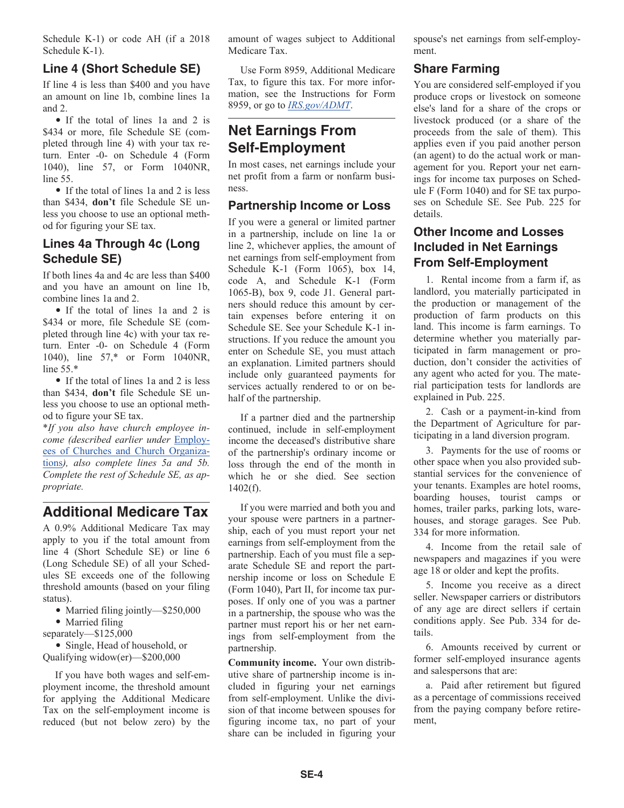<span id="page-3-0"></span>Schedule K-1) or code AH (if a 2018 Schedule K-1).

### **Line 4 (Short Schedule SE)**

If line 4 is less than \$400 and you have an amount on line 1b, combine lines 1a and 2.

• If the total of lines 1a and 2 is \$434 or more, file Schedule SE (completed through line 4) with your tax return. Enter -0- on Schedule 4 (Form 1040), line 57, or Form 1040NR, line 55.

• If the total of lines 1a and 2 is less than \$434, **don't** file Schedule SE unless you choose to use an optional method for figuring your SE tax.

### **Lines 4a Through 4c (Long Schedule SE)**

If both lines 4a and 4c are less than \$400 and you have an amount on line 1b, combine lines 1a and 2.

• If the total of lines 1a and 2 is \$434 or more, file Schedule SE (completed through line 4c) with your tax return. Enter -0- on Schedule 4 (Form 1040), line 57,\* or Form 1040NR, line 55.\*

• If the total of lines 1a and 2 is less than \$434, **don't** file Schedule SE unless you choose to use an optional method to figure your SE tax.

\**If you also have church employee income (described earlier under* [Employ](#page-0-0)[ees of Churches and Church Organiza](#page-0-0)[tions](#page-0-0)*), also complete lines 5a and 5b. Complete the rest of Schedule SE, as appropriate.*

## **Additional Medicare Tax**

A 0.9% Additional Medicare Tax may apply to you if the total amount from line 4 (Short Schedule SE) or line 6 (Long Schedule SE) of all your Schedules SE exceeds one of the following threshold amounts (based on your filing status).

• Married filing jointly—\$250,000

- Married filing
- separately—\$125,000

• Single, Head of household, or Qualifying widow(er)—\$200,000

If you have both wages and self-employment income, the threshold amount for applying the Additional Medicare Tax on the self-employment income is reduced (but not below zero) by the amount of wages subject to Additional Medicare Tax.

Use Form 8959, Additional Medicare Tax, to figure this tax. For more information, see the Instructions for Form 8959, or go to *[IRS.gov/ADMT](https://www.irs.gov/admt)*.

## **Net Earnings From Self-Employment**

In most cases, net earnings include your net profit from a farm or nonfarm business.

### **Partnership Income or Loss**

If you were a general or limited partner in a partnership, include on line 1a or line 2, whichever applies, the amount of net earnings from self-employment from Schedule K-1 (Form 1065), box 14, code A, and Schedule K-1 (Form 1065-B), box 9, code J1. General partners should reduce this amount by certain expenses before entering it on Schedule SE. See your Schedule K-1 instructions. If you reduce the amount you enter on Schedule SE, you must attach an explanation. Limited partners should include only guaranteed payments for services actually rendered to or on behalf of the partnership.

If a partner died and the partnership continued, include in self-employment income the deceased's distributive share of the partnership's ordinary income or loss through the end of the month in which he or she died. See section 1402(f).

If you were married and both you and your spouse were partners in a partnership, each of you must report your net earnings from self-employment from the partnership. Each of you must file a separate Schedule SE and report the partnership income or loss on Schedule E (Form 1040), Part II, for income tax purposes. If only one of you was a partner in a partnership, the spouse who was the partner must report his or her net earnings from self-employment from the partnership.

**Community income.** Your own distributive share of partnership income is included in figuring your net earnings from self-employment. Unlike the division of that income between spouses for figuring income tax, no part of your share can be included in figuring your

spouse's net earnings from self-employment.

### **Share Farming**

You are considered self-employed if you produce crops or livestock on someone else's land for a share of the crops or livestock produced (or a share of the proceeds from the sale of them). This applies even if you paid another person (an agent) to do the actual work or management for you. Report your net earnings for income tax purposes on Schedule F (Form 1040) and for SE tax purposes on Schedule SE. See Pub. 225 for details.

### **Other Income and Losses Included in Net Earnings From Self-Employment**

1. Rental income from a farm if, as landlord, you materially participated in the production or management of the production of farm products on this land. This income is farm earnings. To determine whether you materially participated in farm management or production, don't consider the activities of any agent who acted for you. The material participation tests for landlords are explained in Pub. 225.

2. Cash or a payment-in-kind from the Department of Agriculture for participating in a land diversion program.

3. Payments for the use of rooms or other space when you also provided substantial services for the convenience of your tenants. Examples are hotel rooms, boarding houses, tourist camps or homes, trailer parks, parking lots, warehouses, and storage garages. See Pub. 334 for more information.

4. Income from the retail sale of newspapers and magazines if you were age 18 or older and kept the profits.

5. Income you receive as a direct seller. Newspaper carriers or distributors of any age are direct sellers if certain conditions apply. See Pub. 334 for details.

6. Amounts received by current or former self-employed insurance agents and salespersons that are:

a. Paid after retirement but figured as a percentage of commissions received from the paying company before retirement,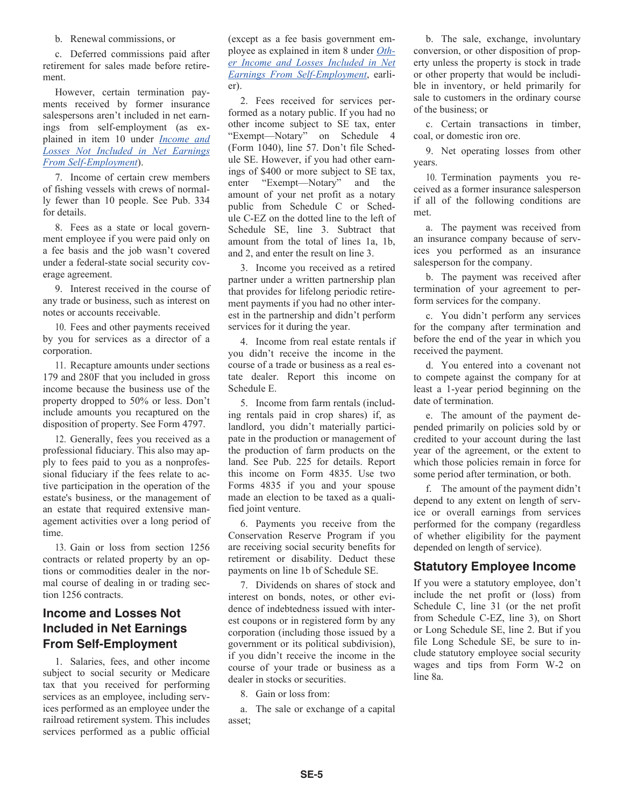b. Renewal commissions, or

<span id="page-4-0"></span>c. Deferred commissions paid after retirement for sales made before retirement.

However, certain termination payments received by former insurance salespersons aren't included in net earnings from self-employment (as explained in item 10 under *Income and Losses Not Included in Net Earnings From Self-Employment*).

7. Income of certain crew members of fishing vessels with crews of normally fewer than 10 people. See Pub. 334 for details.

8. Fees as a state or local government employee if you were paid only on a fee basis and the job wasn't covered under a federal-state social security coverage agreement.

9. Interest received in the course of any trade or business, such as interest on notes or accounts receivable.

10. Fees and other payments received by you for services as a director of a corporation.

11. Recapture amounts under sections 179 and 280F that you included in gross income because the business use of the property dropped to 50% or less. Don't include amounts you recaptured on the disposition of property. See Form 4797.

12. Generally, fees you received as a professional fiduciary. This also may apply to fees paid to you as a nonprofessional fiduciary if the fees relate to active participation in the operation of the estate's business, or the management of an estate that required extensive management activities over a long period of time.

13. Gain or loss from section 1256 contracts or related property by an options or commodities dealer in the normal course of dealing in or trading section 1256 contracts.

### **Income and Losses Not Included in Net Earnings From Self-Employment**

1. Salaries, fees, and other income subject to social security or Medicare tax that you received for performing services as an employee, including services performed as an employee under the railroad retirement system. This includes services performed as a public official

(except as a fee basis government employee as explained in item 8 under *[Oth](#page-3-0)[er Income and Losses Included in Net](#page-3-0)  [Earnings From Self-Employment](#page-3-0)*, earlier).

2. Fees received for services performed as a notary public. If you had no other income subject to SE tax, enter "Exempt—Notary" on Schedule 4 (Form 1040), line 57. Don't file Schedule SE. However, if you had other earnings of \$400 or more subject to SE tax, enter "Exempt—Notary" and the amount of your net profit as a notary public from Schedule C or Schedule C-EZ on the dotted line to the left of Schedule SE, line 3. Subtract that amount from the total of lines 1a, 1b, and 2, and enter the result on line 3.

3. Income you received as a retired partner under a written partnership plan that provides for lifelong periodic retirement payments if you had no other interest in the partnership and didn't perform services for it during the year.

4. Income from real estate rentals if you didn't receive the income in the course of a trade or business as a real estate dealer. Report this income on Schedule E.

5. Income from farm rentals (including rentals paid in crop shares) if, as landlord, you didn't materially participate in the production or management of the production of farm products on the land. See Pub. 225 for details. Report this income on Form 4835. Use two Forms 4835 if you and your spouse made an election to be taxed as a qualified joint venture.

6. Payments you receive from the Conservation Reserve Program if you are receiving social security benefits for retirement or disability. Deduct these payments on line 1b of Schedule SE.

7. Dividends on shares of stock and interest on bonds, notes, or other evidence of indebtedness issued with interest coupons or in registered form by any corporation (including those issued by a government or its political subdivision), if you didn't receive the income in the course of your trade or business as a dealer in stocks or securities.

8. Gain or loss from:

a. The sale or exchange of a capital asset;

b. The sale, exchange, involuntary conversion, or other disposition of property unless the property is stock in trade or other property that would be includible in inventory, or held primarily for sale to customers in the ordinary course of the business; or

c. Certain transactions in timber, coal, or domestic iron ore.

9. Net operating losses from other years.

10. Termination payments you received as a former insurance salesperson if all of the following conditions are met.

a. The payment was received from an insurance company because of services you performed as an insurance salesperson for the company.

b. The payment was received after termination of your agreement to perform services for the company.

c. You didn't perform any services for the company after termination and before the end of the year in which you received the payment.

d. You entered into a covenant not to compete against the company for at least a 1-year period beginning on the date of termination.

e. The amount of the payment depended primarily on policies sold by or credited to your account during the last year of the agreement, or the extent to which those policies remain in force for some period after termination, or both.

f. The amount of the payment didn't depend to any extent on length of service or overall earnings from services performed for the company (regardless of whether eligibility for the payment depended on length of service).

### **Statutory Employee Income**

If you were a statutory employee, don't include the net profit or (loss) from Schedule C, line 31 (or the net profit from Schedule C-EZ, line 3), on Short or Long Schedule SE, line 2. But if you file Long Schedule SE, be sure to include statutory employee social security wages and tips from Form W-2 on line 8a.